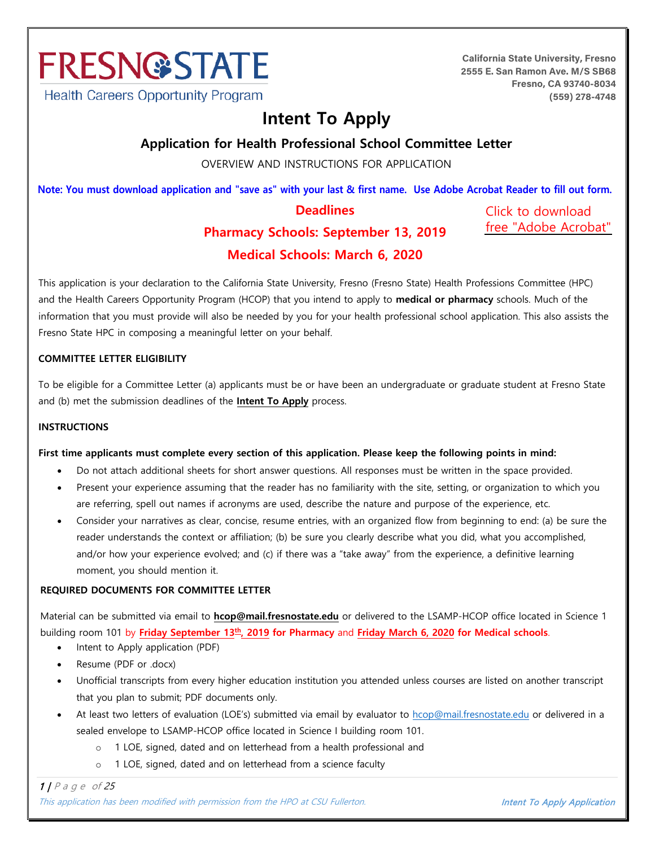

**California State University, Fresno 2555 E. San Ramon Ave. M/S SB68 Fresno, CA 93740-8034 (559) 278-4748**

# **Intent To Apply**

**Application for Health Professional School Committee Letter** 

OVERVIEW AND INSTRUCTIONS FOR APPLICATION

Note: You must download application and "save as" with your last & first name. Use Adobe Acrobat Reader to fill out form.

# **Deadlines Pharmacy Schools: September 13, 2019**

Click to download [free "Adobe Acrobat"](https://acrobat.adobe.com/us/en/acrobat/pdf-reader.html)

# **Medical Schools: March 6, 2020**

This application is your declaration to the California State University, Fresno (Fresno State) Health Professions Committee (HPC) and the Health Careers Opportunity Program (HCOP) that you intend to apply to **medical or pharmacy** schools. Much of the information that you must provide will also be needed by you for your health professional school application. This also assists the Fresno State HPC in composing a meaningful letter on your behalf.

#### **COMMITTEE LETTER ELIGIBILITY**

To be eligible for a Committee Letter (a) applicants must be or have been an undergraduate or graduate student at Fresno State and (b) met the submission deadlines of the **Intent To Apply** process.

#### **INSTRUCTIONS**

#### **First time applicants must complete every section of this application. Please keep the following points in mind:**

- Do not attach additional sheets for short answer questions. All responses must be written in the space provided.
- Present your experience assuming that the reader has no familiarity with the site, setting, or organization to which you are referring, spell out names if acronyms are used, describe the nature and purpose of the experience, etc.
- Consider your narratives as clear, concise, resume entries, with an organized flow from beginning to end: (a) be sure the reader understands the context or affiliation; (b) be sure you clearly describe what you did, what you accomplished, and/or how your experience evolved; and (c) if there was a "take away" from the experience, a definitive learning moment, you should mention it.

#### **REQUIRED DOCUMENTS FOR COMMITTEE LETTER**

Material can be submitted via email to **hcop@mail.fresnostate.edu** or delivered to the LSAMP-HCOP office located in Science 1 building room 101 by **Friday September 13th , 2019 for Pharmacy** and **Friday March 6, 2020 for Medical schools**.

- Intent to Apply application (PDF)
- Resume (PDF or .docx)
- Unofficial transcripts from every higher education institution you attended unless courses are listed on another transcript that you plan to submit; PDF documents only.
- At least two letters of evaluation (LOE's) submitted via email by evaluator to hcop@mail.fresnostate.edu or delivered in a sealed envelope to LSAMP-HCOP office located in Science I building room 101.
	- o 1 LOE, signed, dated and on letterhead from a health professional and
	- o 1 LOE, signed, dated and on letterhead from a science faculty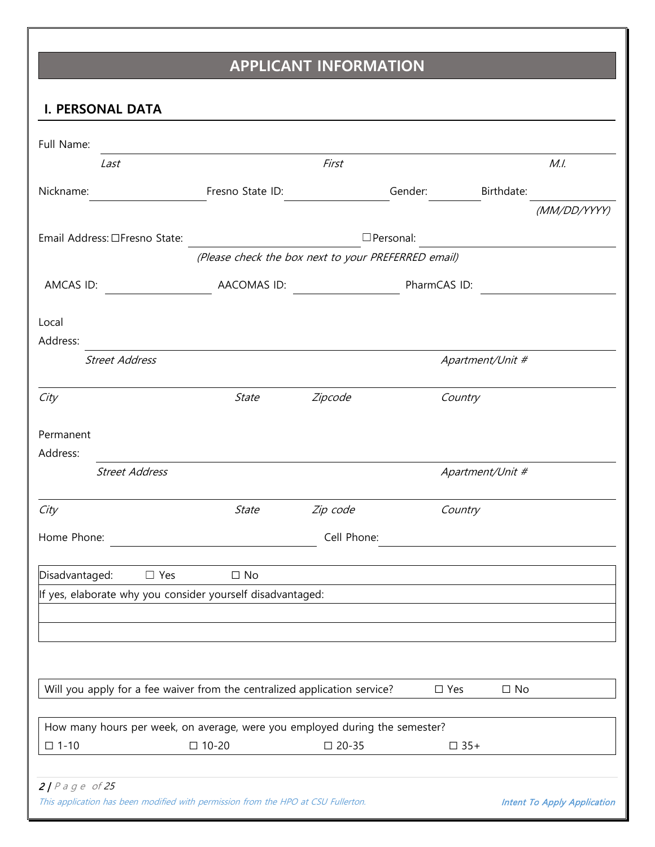# **APPLICANT INFORMATION**

|                                                                                   |                                                     | <b>APPLICANT INFORMATION</b> |                  |                  |                                    |
|-----------------------------------------------------------------------------------|-----------------------------------------------------|------------------------------|------------------|------------------|------------------------------------|
| I. PERSONAL DATA                                                                  |                                                     |                              |                  |                  |                                    |
| Full Name:                                                                        |                                                     |                              |                  |                  |                                    |
| Last                                                                              |                                                     | First                        |                  |                  | M.I.                               |
| Nickname:                                                                         | Fresno State ID:                                    |                              | Gender:          | Birthdate:       |                                    |
|                                                                                   |                                                     |                              |                  |                  | (MM/DD/YYYY)                       |
| Email Address: □Fresno State:                                                     |                                                     |                              | $\Box$ Personal: |                  |                                    |
|                                                                                   | (Please check the box next to your PREFERRED email) |                              |                  |                  |                                    |
| AMCAS ID:                                                                         | AACOMAS ID:                                         |                              | PharmCAS ID:     |                  |                                    |
|                                                                                   |                                                     |                              |                  |                  |                                    |
| Local                                                                             |                                                     |                              |                  |                  |                                    |
| Address:                                                                          |                                                     |                              |                  |                  |                                    |
| <b>Street Address</b>                                                             |                                                     |                              |                  | Apartment/Unit # |                                    |
| City                                                                              | State                                               | Zipcode                      | Country          |                  |                                    |
| Permanent                                                                         |                                                     |                              |                  |                  |                                    |
| Address:                                                                          |                                                     |                              |                  |                  |                                    |
| <b>Street Address</b>                                                             |                                                     |                              |                  | Apartment/Unit # |                                    |
| City                                                                              | State                                               | Zip code                     | Country          |                  |                                    |
| Home Phone:                                                                       |                                                     | Cell Phone:                  |                  |                  |                                    |
| Disadvantaged:<br>$\Box$ Yes                                                      | $\square$ No                                        |                              |                  |                  |                                    |
| If yes, elaborate why you consider yourself disadvantaged:                        |                                                     |                              |                  |                  |                                    |
|                                                                                   |                                                     |                              |                  |                  |                                    |
|                                                                                   |                                                     |                              |                  |                  |                                    |
|                                                                                   |                                                     |                              |                  |                  |                                    |
| Will you apply for a fee waiver from the centralized application service?         |                                                     |                              | $\square$ Yes    | $\square$ No     |                                    |
|                                                                                   |                                                     |                              |                  |                  |                                    |
| How many hours per week, on average, were you employed during the semester?       |                                                     |                              |                  |                  |                                    |
| $\square$ 1-10                                                                    | $\square$ 10-20                                     | $\square$ 20-35              |                  | $\square$ 35+    |                                    |
| $2/Page$ of 25                                                                    |                                                     |                              |                  |                  |                                    |
| This application has been modified with permission from the HPO at CSU Fullerton. |                                                     |                              |                  |                  | <b>Intent To Apply Application</b> |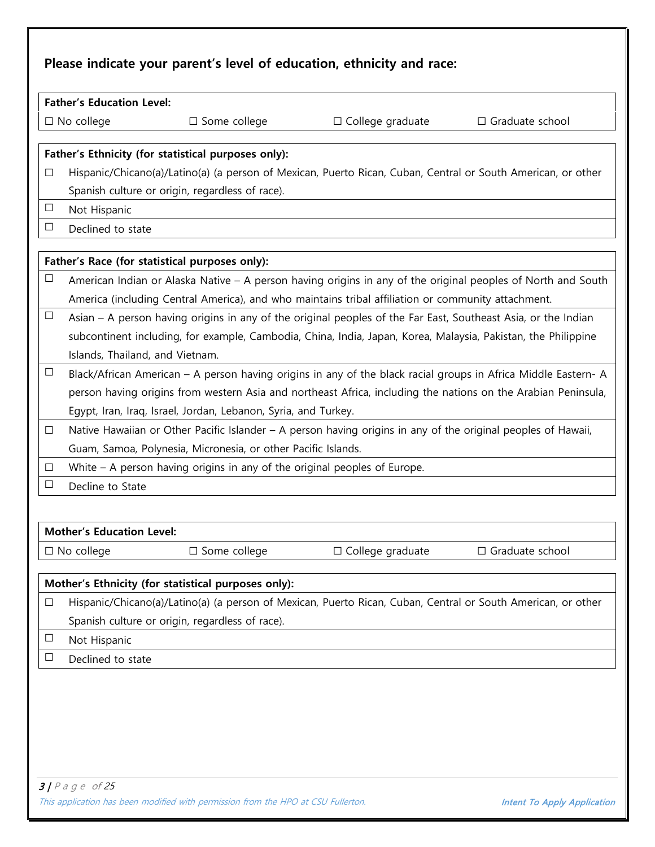|        | <b>Father's Education Level:</b>                                                                                                                                |                                                                           |                                                                                                               |                                                                                                                |  |  |
|--------|-----------------------------------------------------------------------------------------------------------------------------------------------------------------|---------------------------------------------------------------------------|---------------------------------------------------------------------------------------------------------------|----------------------------------------------------------------------------------------------------------------|--|--|
|        | $\square$ No college                                                                                                                                            | $\square$ Some college                                                    | $\Box$ College graduate                                                                                       | $\Box$ Graduate school                                                                                         |  |  |
|        |                                                                                                                                                                 | Father's Ethnicity (for statistical purposes only):                       |                                                                                                               |                                                                                                                |  |  |
| □      |                                                                                                                                                                 |                                                                           | Hispanic/Chicano(a)/Latino(a) (a person of Mexican, Puerto Rican, Cuban, Central or South American, or other  |                                                                                                                |  |  |
|        |                                                                                                                                                                 | Spanish culture or origin, regardless of race).                           |                                                                                                               |                                                                                                                |  |  |
| $\Box$ | Not Hispanic                                                                                                                                                    |                                                                           |                                                                                                               |                                                                                                                |  |  |
| $\Box$ | Declined to state                                                                                                                                               |                                                                           |                                                                                                               |                                                                                                                |  |  |
|        |                                                                                                                                                                 | Father's Race (for statistical purposes only):                            |                                                                                                               |                                                                                                                |  |  |
| $\Box$ |                                                                                                                                                                 |                                                                           |                                                                                                               | American Indian or Alaska Native – A person having origins in any of the original peoples of North and South   |  |  |
|        | America (including Central America), and who maintains tribal affiliation or community attachment.                                                              |                                                                           |                                                                                                               |                                                                                                                |  |  |
| $\Box$ | Asian – A person having origins in any of the original peoples of the Far East, Southeast Asia, or the Indian                                                   |                                                                           |                                                                                                               |                                                                                                                |  |  |
|        | subcontinent including, for example, Cambodia, China, India, Japan, Korea, Malaysia, Pakistan, the Philippine                                                   |                                                                           |                                                                                                               |                                                                                                                |  |  |
|        | Islands, Thailand, and Vietnam.                                                                                                                                 |                                                                           |                                                                                                               |                                                                                                                |  |  |
| $\Box$ |                                                                                                                                                                 |                                                                           |                                                                                                               | Black/African American – A person having origins in any of the black racial groups in Africa Middle Eastern- A |  |  |
|        |                                                                                                                                                                 |                                                                           |                                                                                                               | person having origins from western Asia and northeast Africa, including the nations on the Arabian Peninsula,  |  |  |
|        |                                                                                                                                                                 | Egypt, Iran, Iraq, Israel, Jordan, Lebanon, Syria, and Turkey.            |                                                                                                               |                                                                                                                |  |  |
| $\Box$ |                                                                                                                                                                 |                                                                           | Native Hawaiian or Other Pacific Islander – A person having origins in any of the original peoples of Hawaii, |                                                                                                                |  |  |
|        |                                                                                                                                                                 | Guam, Samoa, Polynesia, Micronesia, or other Pacific Islands.             |                                                                                                               |                                                                                                                |  |  |
| $\Box$ |                                                                                                                                                                 | White – A person having origins in any of the original peoples of Europe. |                                                                                                               |                                                                                                                |  |  |
| $\Box$ | Decline to State                                                                                                                                                |                                                                           |                                                                                                               |                                                                                                                |  |  |
|        |                                                                                                                                                                 |                                                                           |                                                                                                               |                                                                                                                |  |  |
|        | <b>Mother's Education Level:</b>                                                                                                                                |                                                                           |                                                                                                               |                                                                                                                |  |  |
|        | $\square$ No college                                                                                                                                            | □ Some college                                                            | □ College graduate                                                                                            | □ Graduate school                                                                                              |  |  |
|        |                                                                                                                                                                 | Mother's Ethnicity (for statistical purposes only):                       |                                                                                                               |                                                                                                                |  |  |
| $\Box$ |                                                                                                                                                                 |                                                                           |                                                                                                               |                                                                                                                |  |  |
|        | Hispanic/Chicano(a)/Latino(a) (a person of Mexican, Puerto Rican, Cuban, Central or South American, or other<br>Spanish culture or origin, regardless of race). |                                                                           |                                                                                                               |                                                                                                                |  |  |

- $\overline{\Box}$  Not Hispanic
- $\Box$  Declined to state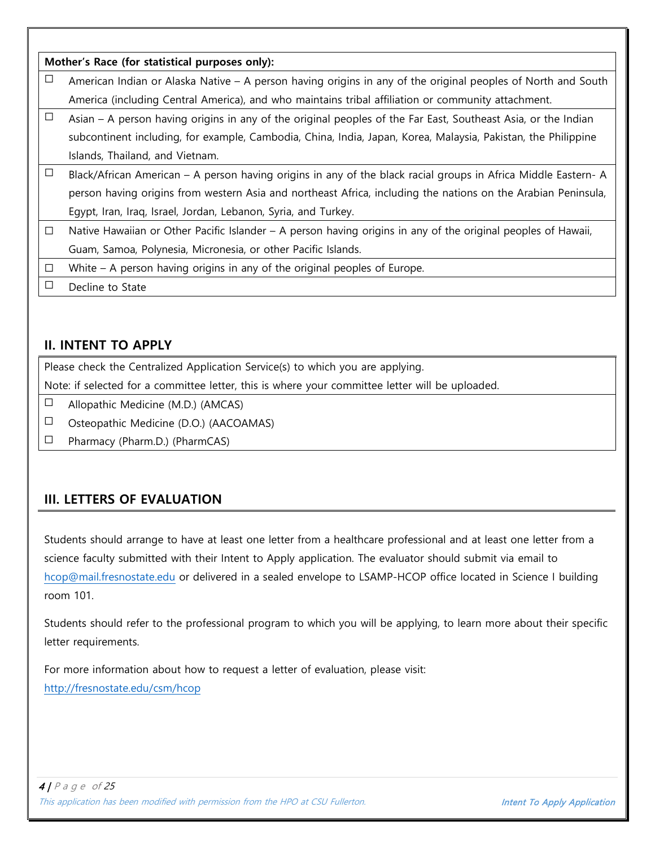|        | Mother's Race (for statistical purposes only):                                                                |
|--------|---------------------------------------------------------------------------------------------------------------|
| Ц      | American Indian or Alaska Native – A person having origins in any of the original peoples of North and South  |
|        | America (including Central America), and who maintains tribal affiliation or community attachment.            |
| $\Box$ | Asian – A person having origins in any of the original peoples of the Far East, Southeast Asia, or the Indian |
|        | subcontinent including, for example, Cambodia, China, India, Japan, Korea, Malaysia, Pakistan, the Philippine |
|        | Islands, Thailand, and Vietnam.                                                                               |
| $\Box$ | Black/African American – A person having origins in any of the black racial groups in Africa Middle Eastern-A |
|        | person having origins from western Asia and northeast Africa, including the nations on the Arabian Peninsula, |
|        | Egypt, Iran, Iraq, Israel, Jordan, Lebanon, Syria, and Turkey.                                                |
| $\Box$ | Native Hawaiian or Other Pacific Islander – A person having origins in any of the original peoples of Hawaii, |
|        | Guam, Samoa, Polynesia, Micronesia, or other Pacific Islands.                                                 |
| □      | White $-$ A person having origins in any of the original peoples of Europe.                                   |
| ப      | Decline to State                                                                                              |

### **II. INTENT TO APPLY**

Please check the Centralized Application Service(s) to which you are applying.

Note: if selected for a committee letter, this is where your committee letter will be uploaded.

 $\Box$  Allopathic Medicine (M.D.) (AMCAS)

☐ Osteopathic Medicine (D.O.) (AACOAMAS)

☐ Pharmacy (Pharm.D.) (PharmCAS)

## **III. LETTERS OF EVALUATION**

Students should arrange to have at least one letter from a healthcare professional and at least one letter from a science faculty submitted with their Intent to Apply application. The evaluator should submit via email to [hcop@mail.fresnostate.edu](mailto:hcop@mail.fresnostate.edu) or delivered in a sealed envelope to LSAMP-HCOP office located in Science I building room 101.

Students should refer to the professional program to which you will be applying, to learn more about their specific letter requirements.

For more information about how to request a letter of evaluation, please visit: <http://fresnostate.edu/csm/hcop>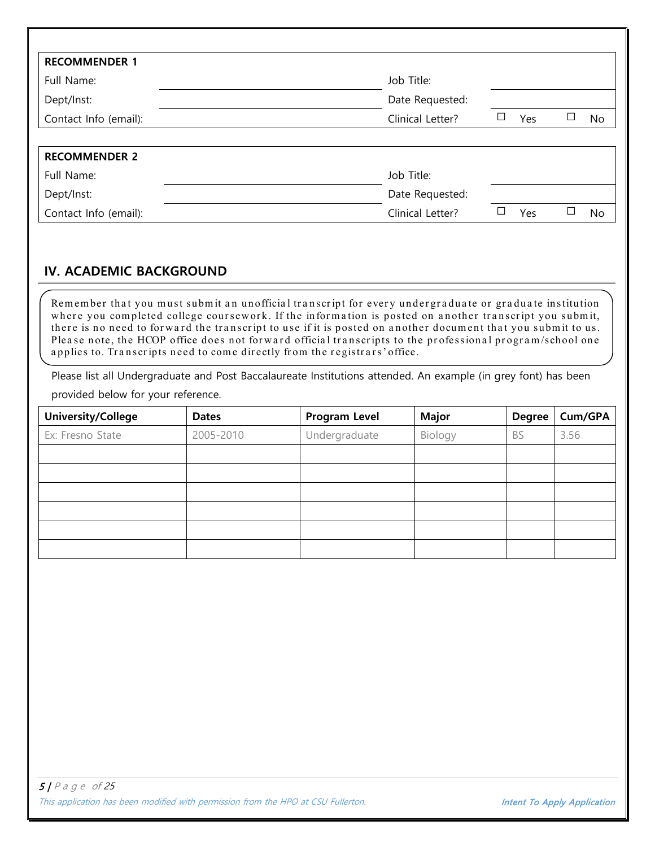| <b>RECOMMENDER 1</b>  |                  |     |    |
|-----------------------|------------------|-----|----|
| Full Name:            | Job Title:       |     |    |
| Dept/Inst:            | Date Requested:  |     |    |
| Contact Info (email): | Clinical Letter? | Yes | No |
|                       |                  |     |    |
| <b>RECOMMENDER 2</b>  |                  |     |    |
| Full Name:            | Job Title:       |     |    |
| Dept/Inst:            | Date Requested:  |     |    |
| Contact Info (email): | Clinical Letter? | Yes | No |

## **IV. ACADEMIC BACKGROUND**

Remember that you must submit an unofficial transcript for every undergraduate or graduate institution where you completed college coursework. If the information is posted on another transcript you submit, there is no need to forward the transcript to use if it is posted on another document that you submit to us. Please note, the HCOP office does not forward official transcripts to the professional program/school one applies to. Transcripts need to come directly from the registrars' office.

Please list all Undergraduate and Post Baccalaureate Institutions attended. An example (in grey font) has been provided below for your reference.

| University/College | <b>Dates</b> | <b>Program Level</b> | <b>Major</b> | <b>Degree</b> | Cum/GPA |
|--------------------|--------------|----------------------|--------------|---------------|---------|
| Ex: Fresno State   | 2005-2010    | Undergraduate        | Biology      | <b>BS</b>     | 3.56    |
|                    |              |                      |              |               |         |
|                    |              |                      |              |               |         |
|                    |              |                      |              |               |         |
|                    |              |                      |              |               |         |
|                    |              |                      |              |               |         |
|                    |              |                      |              |               |         |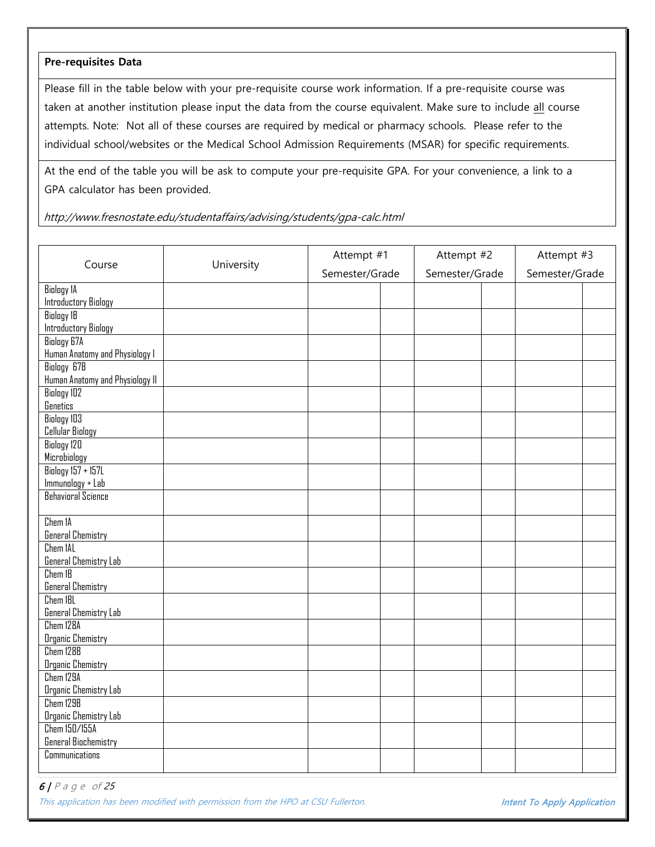#### **Pre-requisites Data**

Please fill in the table below with your pre-requisite course work information. If a pre-requisite course was taken at another institution please input the data from the course equivalent. Make sure to include all course attempts. Note: Not all of these courses are required by medical or pharmacy schools. Please refer to the individual school/websites or the Medical School Admission Requirements (MSAR) for specific requirements.

At the end of the table you will be ask to compute your pre-requisite GPA. For your convenience, a link to a GPA calculator has been provided.

http://www.fresnostate.edu/studentaffairs/advising/students/gpa-calc.html

| Course                          | University     | Attempt #1 | Attempt #2     |  | Attempt #3     |  |
|---------------------------------|----------------|------------|----------------|--|----------------|--|
|                                 | Semester/Grade |            | Semester/Grade |  | Semester/Grade |  |
| <b>Biology 1A</b>               |                |            |                |  |                |  |
| Introductory Biology            |                |            |                |  |                |  |
| <b>Biology 1B</b>               |                |            |                |  |                |  |
| Introductory Biology            |                |            |                |  |                |  |
| <b>Biology G7A</b>              |                |            |                |  |                |  |
| Human Anatomy and Physiology I  |                |            |                |  |                |  |
| <b>Biology 678</b>              |                |            |                |  |                |  |
| Human Anatomy and Physiology II |                |            |                |  |                |  |
| <b>Biology 102</b>              |                |            |                |  |                |  |
| Genetics                        |                |            |                |  |                |  |
| <b>Biology 103</b>              |                |            |                |  |                |  |
| Cellular Biology                |                |            |                |  |                |  |
| <b>Biology 120</b>              |                |            |                |  |                |  |
| Microbiology                    |                |            |                |  |                |  |
| <b>Biology 157 + 157L</b>       |                |            |                |  |                |  |
| Immunology + Lab                |                |            |                |  |                |  |
| <b>Behavioral Science</b>       |                |            |                |  |                |  |
|                                 |                |            |                |  |                |  |
| Chem 1A                         |                |            |                |  |                |  |
| <b>General Chemistry</b>        |                |            |                |  |                |  |
| Chem IAL                        |                |            |                |  |                |  |
| General Chemistry Lab           |                |            |                |  |                |  |
| $Chem$ IB                       |                |            |                |  |                |  |
| General Chemistry               |                |            |                |  |                |  |
| Chem IBL                        |                |            |                |  |                |  |
| General Chemistry Lab           |                |            |                |  |                |  |
| Chem 128A                       |                |            |                |  |                |  |
| <b>Organic Chemistry</b>        |                |            |                |  |                |  |
| Chem 128B                       |                |            |                |  |                |  |
| <b>Organic Chemistry</b>        |                |            |                |  |                |  |
| Chem 129A                       |                |            |                |  |                |  |
| Organic Chemistry Lab           |                |            |                |  |                |  |
| Chem 129B                       |                |            |                |  |                |  |
| Organic Chemistry Lab           |                |            |                |  |                |  |
| Chem 150/155A                   |                |            |                |  |                |  |
| <b>General Biochemistry</b>     |                |            |                |  |                |  |
| Communications                  |                |            |                |  |                |  |
|                                 |                |            |                |  |                |  |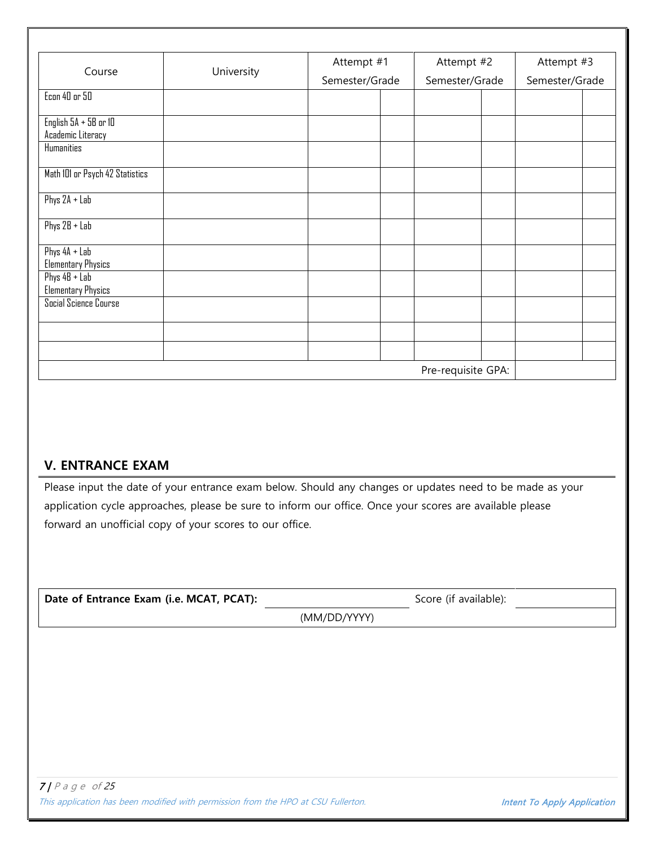| Course                          | University | Attempt #1     | Attempt #2         | Attempt #3     |  |
|---------------------------------|------------|----------------|--------------------|----------------|--|
|                                 |            | Semester/Grade | Semester/Grade     | Semester/Grade |  |
| <b>Econ 40 or 50</b>            |            |                |                    |                |  |
| English $5A + 5B$ or $1D$       |            |                |                    |                |  |
| Academic Literacy               |            |                |                    |                |  |
| <b>Humanities</b>               |            |                |                    |                |  |
| Math 101 or Psych 42 Statistics |            |                |                    |                |  |
| Phys $2A + Lab$                 |            |                |                    |                |  |
| Phys $2B + Lab$                 |            |                |                    |                |  |
| Phys $4A + Lab$                 |            |                |                    |                |  |
| <b>Elementary Physics</b>       |            |                |                    |                |  |
| Phys $4B + Lab$                 |            |                |                    |                |  |
| <b>Elementary Physics</b>       |            |                |                    |                |  |
| Social Science Course           |            |                |                    |                |  |
|                                 |            |                |                    |                |  |
|                                 |            |                |                    |                |  |
|                                 |            |                | Pre-requisite GPA: |                |  |

## **V. ENTRANCE EXAM**

Please input the date of your entrance exam below. Should any changes or updates need to be made as your application cycle approaches, please be sure to inform our office. Once your scores are available please forward an unofficial copy of your scores to our office.

| Date of Entrance Exam (i.e. MCAT, PCAT):                                                              | Score (if available):              |
|-------------------------------------------------------------------------------------------------------|------------------------------------|
| (MM/DD/YYYY)                                                                                          |                                    |
|                                                                                                       |                                    |
|                                                                                                       |                                    |
|                                                                                                       |                                    |
|                                                                                                       |                                    |
|                                                                                                       |                                    |
|                                                                                                       |                                    |
|                                                                                                       |                                    |
|                                                                                                       |                                    |
| $7$   Page of 25<br>This application has been modified with permission from the HPO at CSU Fullerton. | <b>Intent To Apply Application</b> |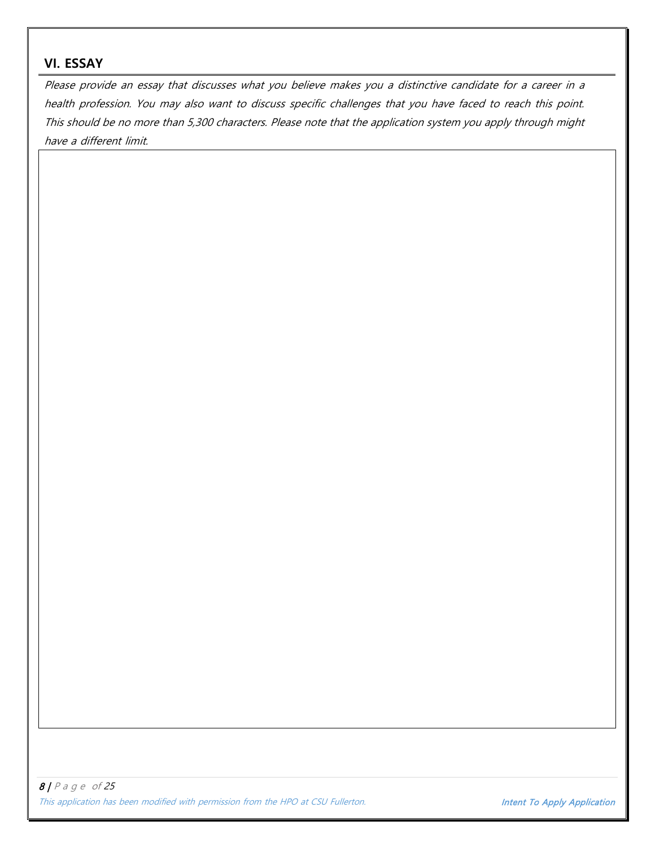### **VI. ESSAY**

Please provide an essay that discusses what you believe makes you a distinctive candidate for a career in a health profession. You may also want to discuss specific challenges that you have faced to reach this point. This should be no more than 5,300 characters. Please note that the application system you apply through might have a different limit.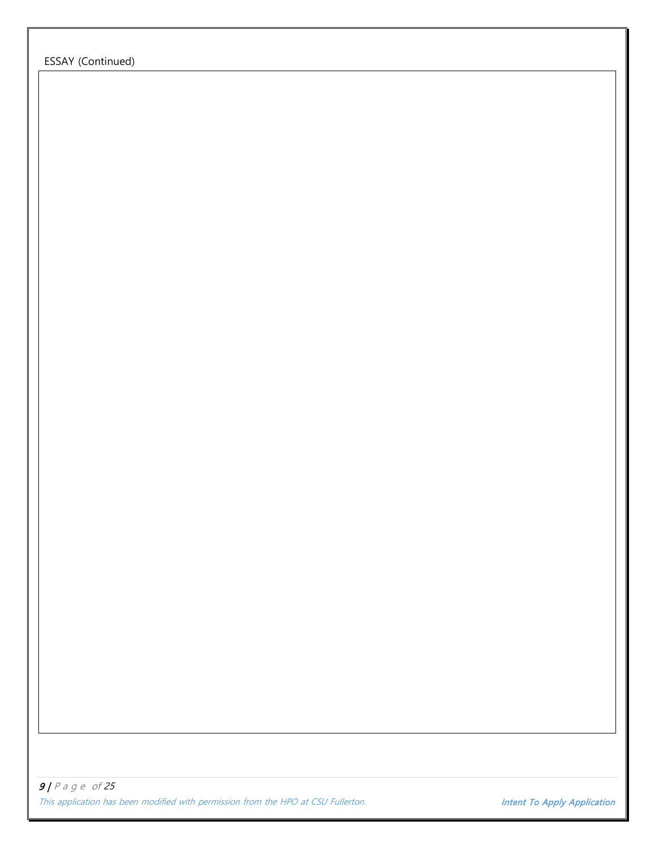ESSAY (Continued)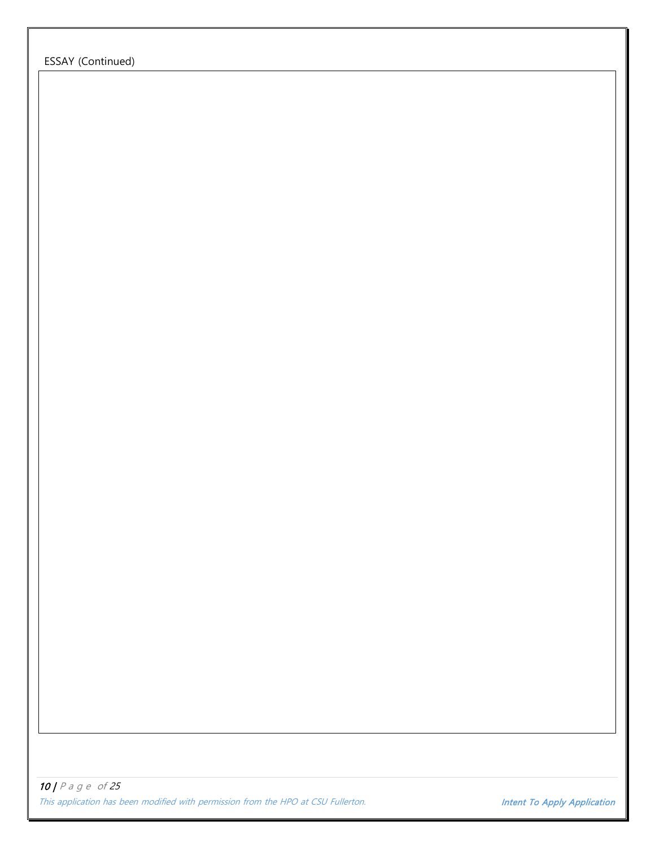ESSAY (Continued)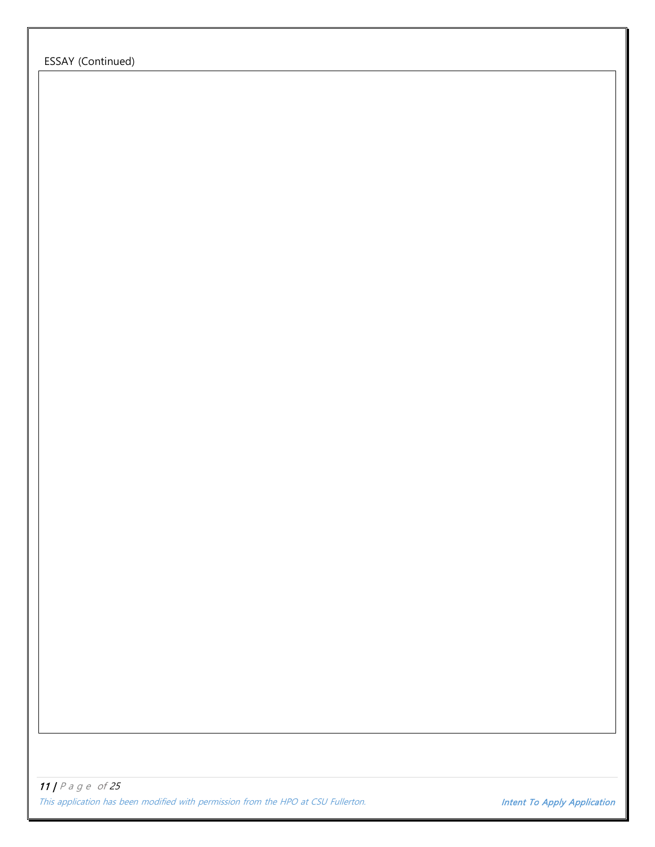ESSAY (Continued)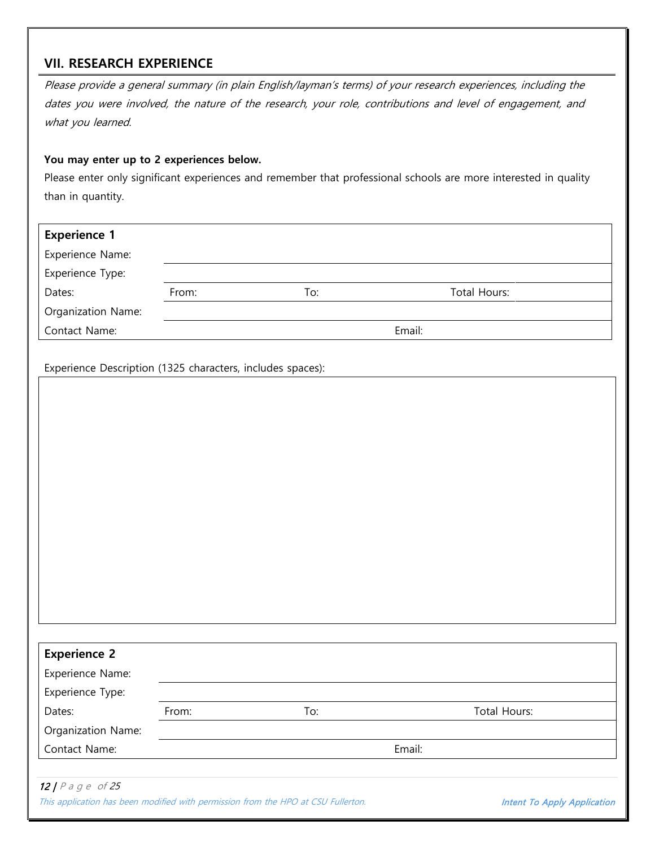## **VII. RESEARCH EXPERIENCE**

Please provide a general summary (in plain English/layman's terms) of your research experiences, including the dates you were involved, the nature of the research, your role, contributions and level of engagement, and what you learned.

#### **You may enter up to 2 experiences below.**

Please enter only significant experiences and remember that professional schools are more interested in quality than in quantity.

| <b>Experience 1</b> |       |     |              |  |
|---------------------|-------|-----|--------------|--|
| Experience Name:    |       |     |              |  |
| Experience Type:    |       |     |              |  |
| Dates:              | From: | To: | Total Hours: |  |
| Organization Name:  |       |     |              |  |
| Contact Name:       |       |     | Email:       |  |

Experience Description (1325 characters, includes spaces):

| <b>Experience 2</b> |       |     |              |
|---------------------|-------|-----|--------------|
| Experience Name:    |       |     |              |
| Experience Type:    |       |     |              |
| Dates:              | From: | To: | Total Hours: |
| Organization Name:  |       |     |              |
| Contact Name:       |       |     | Email:       |
|                     |       |     |              |

12 |  $P$  a g e of 25 This application has been modified with permission from the HPO at CSU Fullerton. **Intent To Apply Application**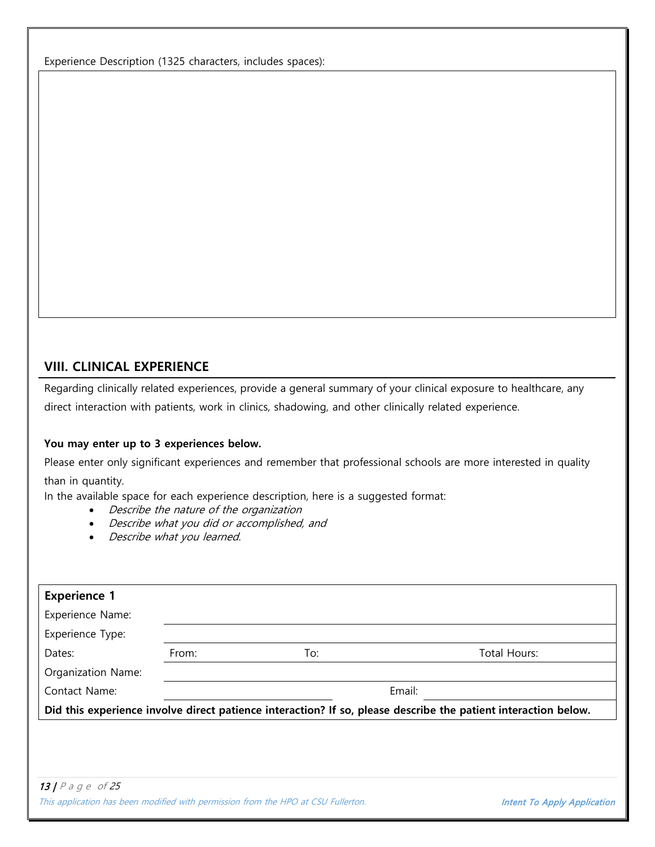Experience Description (1325 characters, includes spaces):

### **VIII. CLINICAL EXPERIENCE**

Regarding clinically related experiences, provide a general summary of your clinical exposure to healthcare, any direct interaction with patients, work in clinics, shadowing, and other clinically related experience.

### **You may enter up to 3 experiences below.**

Please enter only significant experiences and remember that professional schools are more interested in quality than in quantity.

In the available space for each experience description, here is a suggested format:

- Describe the nature of the organization
- Describe what you did or accomplished, and
- Describe what you learned.

| <b>Experience 1</b>  |       |                                                                                   |                                                                                                                |
|----------------------|-------|-----------------------------------------------------------------------------------|----------------------------------------------------------------------------------------------------------------|
| Experience Name:     |       |                                                                                   |                                                                                                                |
| Experience Type:     |       |                                                                                   |                                                                                                                |
| Dates:               | From: | To:                                                                               | Total Hours:                                                                                                   |
| Organization Name:   |       |                                                                                   |                                                                                                                |
| Contact Name:        |       |                                                                                   | Email:                                                                                                         |
|                      |       |                                                                                   | Did this experience involve direct patience interaction? If so, please describe the patient interaction below. |
|                      |       |                                                                                   |                                                                                                                |
|                      |       |                                                                                   |                                                                                                                |
|                      |       |                                                                                   |                                                                                                                |
| 13   $P$ a g e of 25 |       |                                                                                   |                                                                                                                |
|                      |       | This application has been modified with permission from the HPO at CSU Fullerton. | Intent To Apply Application                                                                                    |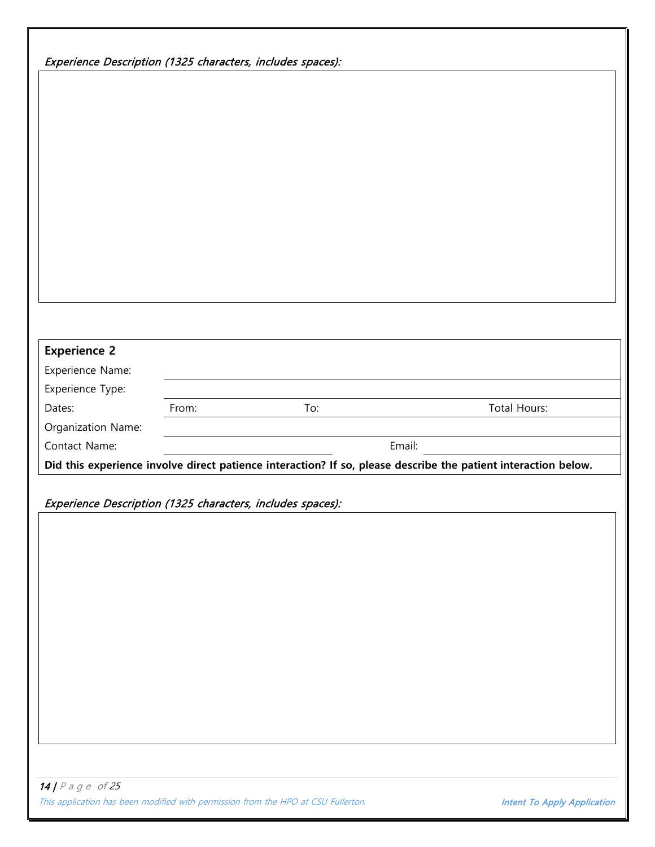| Experience Description (1325 characters, includes spaces): |  |
|------------------------------------------------------------|--|
|                                                            |  |

| <b>Experience 2</b>                                                                               |       |        |                                                                                                                |
|---------------------------------------------------------------------------------------------------|-------|--------|----------------------------------------------------------------------------------------------------------------|
| Experience Name:                                                                                  |       |        |                                                                                                                |
| Experience Type:                                                                                  |       |        |                                                                                                                |
| Dates:                                                                                            | From: | To:    | Total Hours:                                                                                                   |
|                                                                                                   |       |        |                                                                                                                |
|                                                                                                   |       |        |                                                                                                                |
|                                                                                                   |       | Email: |                                                                                                                |
| Organization Name:<br>Contact Name:<br>Experience Description (1325 characters, includes spaces): |       |        |                                                                                                                |
|                                                                                                   |       |        | Did this experience involve direct patience interaction? If so, please describe the patient interaction below. |
|                                                                                                   |       |        |                                                                                                                |
|                                                                                                   |       |        |                                                                                                                |
|                                                                                                   |       |        |                                                                                                                |
|                                                                                                   |       |        |                                                                                                                |
|                                                                                                   |       |        |                                                                                                                |
|                                                                                                   |       |        |                                                                                                                |
|                                                                                                   |       |        |                                                                                                                |
|                                                                                                   |       |        |                                                                                                                |
|                                                                                                   |       |        |                                                                                                                |
|                                                                                                   |       |        |                                                                                                                |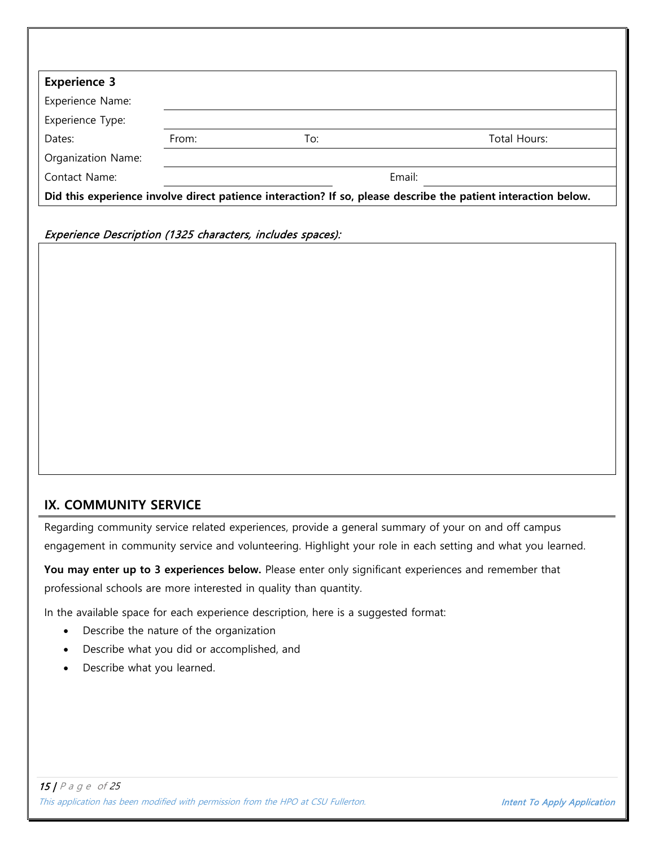| <b>Experience 3</b> |                                                                                                                |     |              |  |  |
|---------------------|----------------------------------------------------------------------------------------------------------------|-----|--------------|--|--|
| Experience Name:    |                                                                                                                |     |              |  |  |
| Experience Type:    |                                                                                                                |     |              |  |  |
| Dates:              | From:                                                                                                          | To: | Total Hours: |  |  |
| Organization Name:  |                                                                                                                |     |              |  |  |
| Contact Name:       |                                                                                                                |     | Email:       |  |  |
|                     | Did this experience involve direct patience interaction? If so, please describe the patient interaction below. |     |              |  |  |

Experience Description (1325 characters, includes spaces):

### **IX. COMMUNITY SERVICE**

Regarding community service related experiences, provide a general summary of your on and off campus engagement in community service and volunteering. Highlight your role in each setting and what you learned.

**You may enter up to 3 experiences below.** Please enter only significant experiences and remember that professional schools are more interested in quality than quantity.

In the available space for each experience description, here is a suggested format:

- Describe the nature of the organization
- Describe what you did or accomplished, and
- Describe what you learned.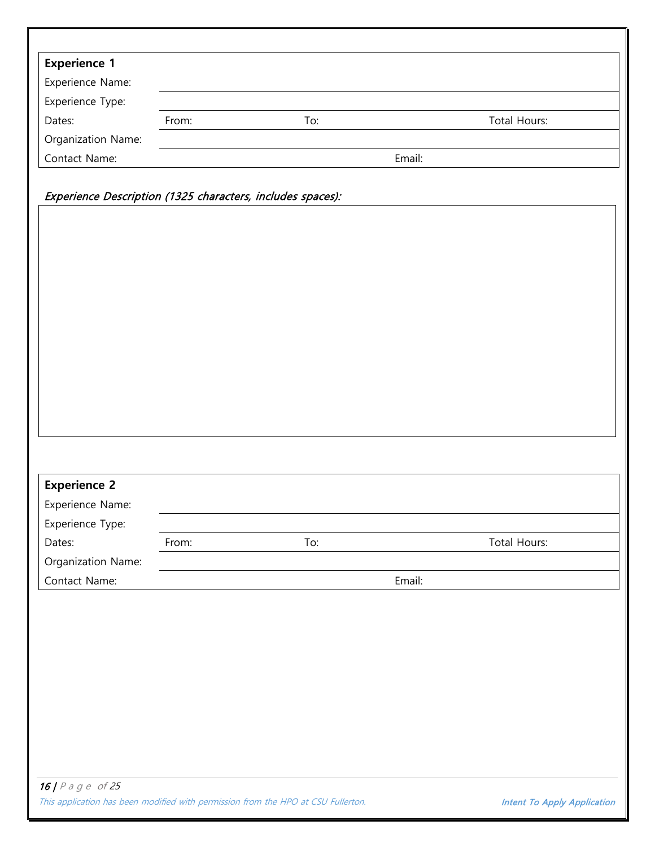| <b>Experience 1</b>                                                                         |       |     |              |  |
|---------------------------------------------------------------------------------------------|-------|-----|--------------|--|
| Experience Name:                                                                            |       |     |              |  |
| Experience Type:                                                                            |       |     |              |  |
| Dates:                                                                                      | From: | To: | Total Hours: |  |
| Organization Name:                                                                          |       |     |              |  |
| Contact Name:                                                                               |       |     | Email:       |  |
|                                                                                             |       |     |              |  |
| Experience Description (1325 characters, includes spaces):                                  |       |     |              |  |
|                                                                                             |       |     |              |  |
|                                                                                             |       |     |              |  |
|                                                                                             |       |     |              |  |
|                                                                                             |       |     |              |  |
|                                                                                             |       |     |              |  |
|                                                                                             |       |     |              |  |
|                                                                                             |       |     |              |  |
|                                                                                             |       |     |              |  |
|                                                                                             |       |     |              |  |
|                                                                                             |       |     |              |  |
|                                                                                             |       |     |              |  |
|                                                                                             |       |     |              |  |
|                                                                                             |       |     |              |  |
|                                                                                             |       |     |              |  |
|                                                                                             |       |     |              |  |
|                                                                                             |       |     |              |  |
|                                                                                             |       |     |              |  |
|                                                                                             |       |     |              |  |
|                                                                                             |       |     |              |  |
|                                                                                             | From: | To: | Total Hours: |  |
|                                                                                             |       |     |              |  |
|                                                                                             |       |     | Email:       |  |
| <b>Experience 2</b><br>Experience Name:<br>Experience Type:<br>Dates:<br>Organization Name: |       |     |              |  |
|                                                                                             |       |     |              |  |
|                                                                                             |       |     |              |  |
|                                                                                             |       |     |              |  |
|                                                                                             |       |     |              |  |
|                                                                                             |       |     |              |  |
|                                                                                             |       |     |              |  |
|                                                                                             |       |     |              |  |
|                                                                                             |       |     |              |  |
|                                                                                             |       |     |              |  |
| Contact Name:                                                                               |       |     |              |  |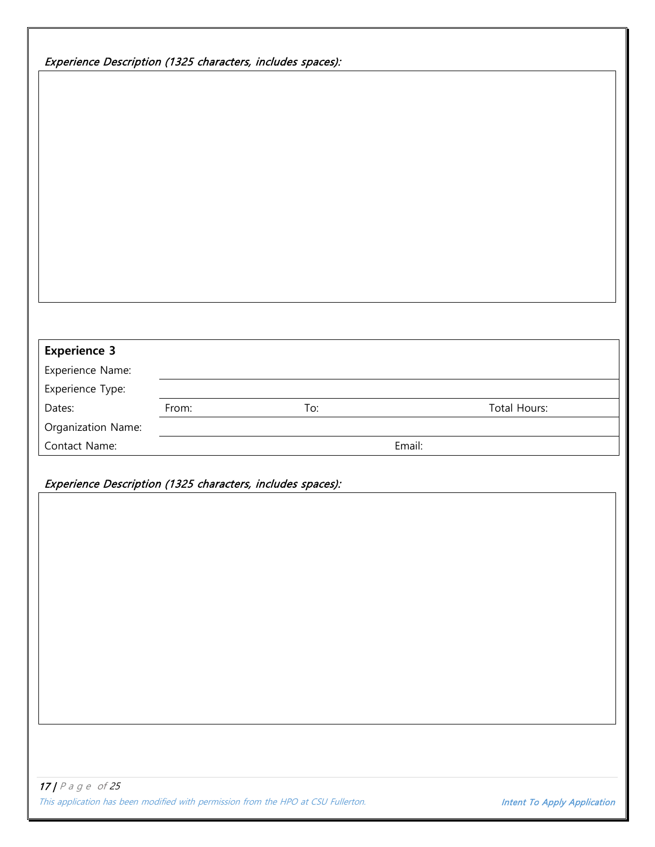| Experience Description (1325 characters, includes spaces): |       |     |        |              |  |
|------------------------------------------------------------|-------|-----|--------|--------------|--|
|                                                            |       |     |        |              |  |
|                                                            |       |     |        |              |  |
|                                                            |       |     |        |              |  |
|                                                            |       |     |        |              |  |
|                                                            |       |     |        |              |  |
|                                                            |       |     |        |              |  |
|                                                            |       |     |        |              |  |
|                                                            |       |     |        |              |  |
|                                                            |       |     |        |              |  |
|                                                            |       |     |        |              |  |
|                                                            |       |     |        |              |  |
|                                                            |       |     |        |              |  |
|                                                            |       |     |        |              |  |
|                                                            |       |     |        |              |  |
| <b>Experience 3</b>                                        |       |     |        |              |  |
| Experience Name:                                           |       |     |        |              |  |
| Experience Type:<br>Dates:                                 | From: | To: |        | Total Hours: |  |
| Organization Name:                                         |       |     |        |              |  |
| Contact Name:                                              |       |     | Email: |              |  |
|                                                            |       |     |        |              |  |
| Experience Description (1325 characters, includes spaces): |       |     |        |              |  |
|                                                            |       |     |        |              |  |
|                                                            |       |     |        |              |  |
|                                                            |       |     |        |              |  |
|                                                            |       |     |        |              |  |
|                                                            |       |     |        |              |  |
|                                                            |       |     |        |              |  |
|                                                            |       |     |        |              |  |
|                                                            |       |     |        |              |  |
|                                                            |       |     |        |              |  |
|                                                            |       |     |        |              |  |
|                                                            |       |     |        |              |  |
|                                                            |       |     |        |              |  |
|                                                            |       |     |        |              |  |
|                                                            |       |     |        |              |  |
|                                                            |       |     |        |              |  |
| $17$   P a g e of 25                                       |       |     |        |              |  |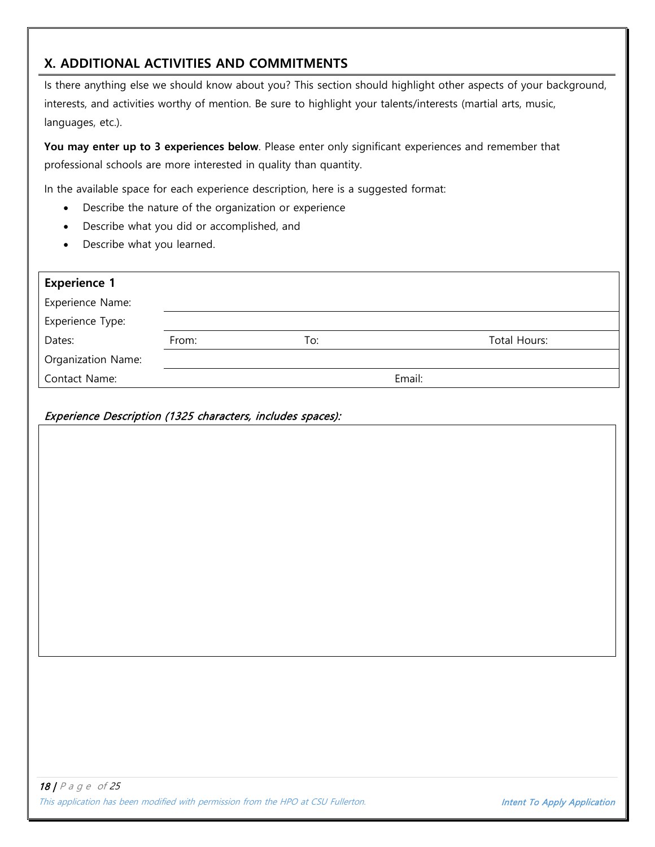# **X. ADDITIONAL ACTIVITIES AND COMMITMENTS**

Is there anything else we should know about you? This section should highlight other aspects of your background, interests, and activities worthy of mention. Be sure to highlight your talents/interests (martial arts, music, languages, etc.).

You may enter up to 3 experiences below. Please enter only significant experiences and remember that professional schools are more interested in quality than quantity.

In the available space for each experience description, here is a suggested format:

- Describe the nature of the organization or experience
- Describe what you did or accomplished, and
- Describe what you learned.

| <b>Experience 1</b>                                        |       |     |        |              |
|------------------------------------------------------------|-------|-----|--------|--------------|
| Experience Name:                                           |       |     |        |              |
| Experience Type:                                           |       |     |        |              |
| Dates:                                                     | From: | To: |        | Total Hours: |
| Organization Name:                                         |       |     |        |              |
| Contact Name:                                              |       |     | Email: |              |
| Experience Description (1325 characters, includes spaces): |       |     |        |              |
|                                                            |       |     |        |              |
|                                                            |       |     |        |              |
|                                                            |       |     |        |              |
|                                                            |       |     |        |              |
|                                                            |       |     |        |              |
|                                                            |       |     |        |              |
|                                                            |       |     |        |              |
|                                                            |       |     |        |              |
|                                                            |       |     |        |              |
|                                                            |       |     |        |              |
|                                                            |       |     |        |              |
|                                                            |       |     |        |              |
|                                                            |       |     |        |              |
|                                                            |       |     |        |              |
|                                                            |       |     |        |              |
|                                                            |       |     |        |              |
|                                                            |       |     |        |              |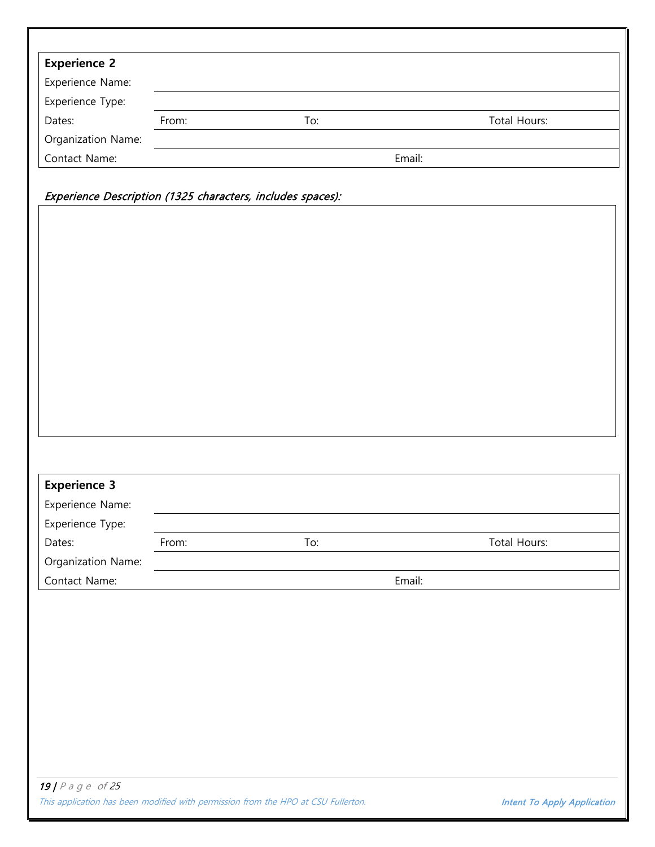| Experience Name:<br>Experience Type:<br>Total Hours:<br>Dates:<br>From:<br>To:<br>Organization Name:<br>Email:<br>Contact Name:<br>Experience Description (1325 characters, includes spaces):<br><b>Experience 3</b><br>Experience Name:<br>Experience Type:<br>Total Hours:<br>Dates:<br>To:<br>From:<br>Organization Name:<br>Email:<br>Contact Name:<br>19   $P$ a g e of 25 | <b>Experience 2</b> |  |  |
|---------------------------------------------------------------------------------------------------------------------------------------------------------------------------------------------------------------------------------------------------------------------------------------------------------------------------------------------------------------------------------|---------------------|--|--|
|                                                                                                                                                                                                                                                                                                                                                                                 |                     |  |  |
|                                                                                                                                                                                                                                                                                                                                                                                 |                     |  |  |
|                                                                                                                                                                                                                                                                                                                                                                                 |                     |  |  |
|                                                                                                                                                                                                                                                                                                                                                                                 |                     |  |  |
|                                                                                                                                                                                                                                                                                                                                                                                 |                     |  |  |
|                                                                                                                                                                                                                                                                                                                                                                                 |                     |  |  |
|                                                                                                                                                                                                                                                                                                                                                                                 |                     |  |  |
|                                                                                                                                                                                                                                                                                                                                                                                 |                     |  |  |
|                                                                                                                                                                                                                                                                                                                                                                                 |                     |  |  |
|                                                                                                                                                                                                                                                                                                                                                                                 |                     |  |  |
|                                                                                                                                                                                                                                                                                                                                                                                 |                     |  |  |
|                                                                                                                                                                                                                                                                                                                                                                                 |                     |  |  |
|                                                                                                                                                                                                                                                                                                                                                                                 |                     |  |  |
|                                                                                                                                                                                                                                                                                                                                                                                 |                     |  |  |
|                                                                                                                                                                                                                                                                                                                                                                                 |                     |  |  |
|                                                                                                                                                                                                                                                                                                                                                                                 |                     |  |  |
|                                                                                                                                                                                                                                                                                                                                                                                 |                     |  |  |
|                                                                                                                                                                                                                                                                                                                                                                                 |                     |  |  |
|                                                                                                                                                                                                                                                                                                                                                                                 |                     |  |  |
|                                                                                                                                                                                                                                                                                                                                                                                 |                     |  |  |
|                                                                                                                                                                                                                                                                                                                                                                                 |                     |  |  |
|                                                                                                                                                                                                                                                                                                                                                                                 |                     |  |  |
|                                                                                                                                                                                                                                                                                                                                                                                 |                     |  |  |
|                                                                                                                                                                                                                                                                                                                                                                                 |                     |  |  |
|                                                                                                                                                                                                                                                                                                                                                                                 |                     |  |  |
|                                                                                                                                                                                                                                                                                                                                                                                 |                     |  |  |
|                                                                                                                                                                                                                                                                                                                                                                                 |                     |  |  |
|                                                                                                                                                                                                                                                                                                                                                                                 |                     |  |  |
|                                                                                                                                                                                                                                                                                                                                                                                 |                     |  |  |
|                                                                                                                                                                                                                                                                                                                                                                                 |                     |  |  |
|                                                                                                                                                                                                                                                                                                                                                                                 |                     |  |  |
|                                                                                                                                                                                                                                                                                                                                                                                 |                     |  |  |
|                                                                                                                                                                                                                                                                                                                                                                                 |                     |  |  |
|                                                                                                                                                                                                                                                                                                                                                                                 |                     |  |  |
|                                                                                                                                                                                                                                                                                                                                                                                 |                     |  |  |
|                                                                                                                                                                                                                                                                                                                                                                                 |                     |  |  |
|                                                                                                                                                                                                                                                                                                                                                                                 |                     |  |  |
|                                                                                                                                                                                                                                                                                                                                                                                 |                     |  |  |
|                                                                                                                                                                                                                                                                                                                                                                                 |                     |  |  |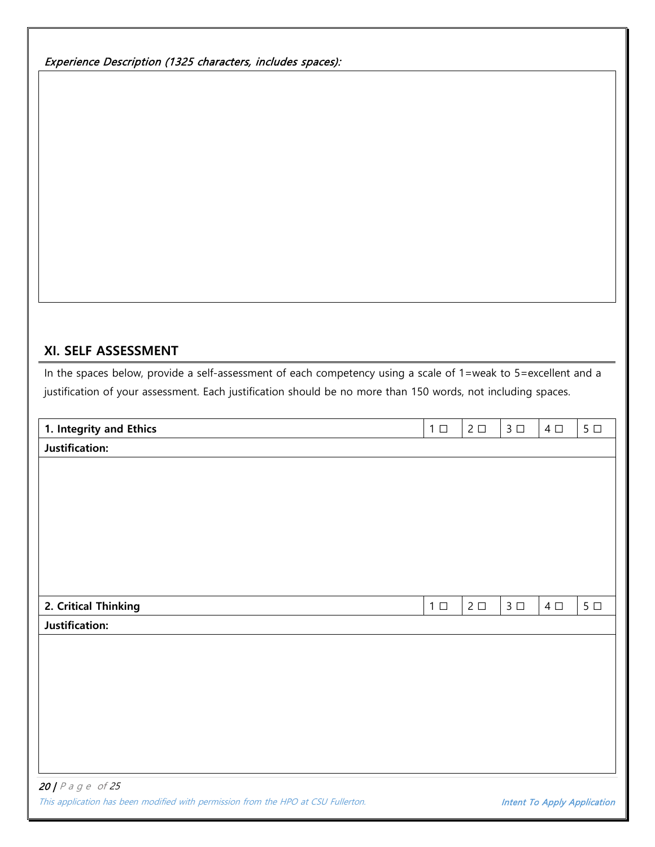Experience Description (1325 characters, includes spaces):

## **XI. SELF ASSESSMENT**

In the spaces below, provide a self-assessment of each competency using a scale of 1=weak to 5=excellent and a justification of your assessment. Each justification should be no more than 150 words, not including spaces.

| 1. Integrity and Ethics       | $1 \Box$ | $2 \Box$ | $3 \Box$ | 4 $\Box$ | $5\ \square$ |
|-------------------------------|----------|----------|----------|----------|--------------|
| Justification:                |          |          |          |          |              |
|                               |          |          |          |          |              |
|                               |          |          |          |          |              |
|                               |          |          |          |          |              |
|                               |          |          |          |          |              |
|                               |          |          |          |          |              |
|                               |          |          |          |          |              |
|                               |          |          |          |          |              |
| 2. Critical Thinking          | $1 \Box$ | $2 \Box$ | $3 \Box$ | 4 $\Box$ | $5\ \square$ |
| Justification:                |          |          |          |          |              |
|                               |          |          |          |          |              |
|                               |          |          |          |          |              |
|                               |          |          |          |          |              |
|                               |          |          |          |          |              |
|                               |          |          |          |          |              |
|                               |          |          |          |          |              |
|                               |          |          |          |          |              |
| <b>20  </b> $P$ a $g$ e of 25 |          |          |          |          |              |

This application has been modified with permission from the HPO at CSU Fullerton. **Intent To Apply Application**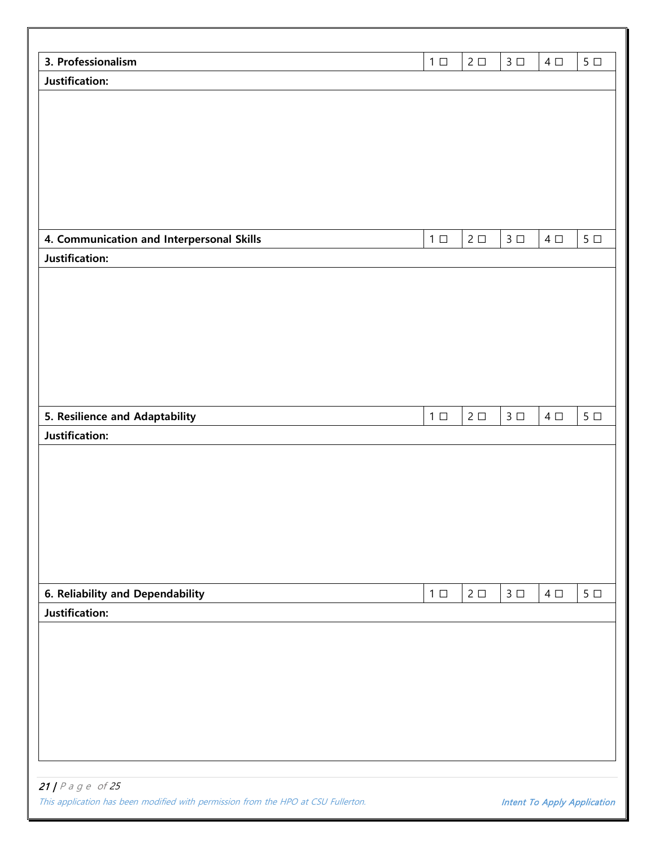| 3. Professionalism                        | $1 \Box$  | $2\square$               | 3 <sup>1</sup>         | $4\Box$  | $5\ \square$   |
|-------------------------------------------|-----------|--------------------------|------------------------|----------|----------------|
| Justification:                            |           |                          |                        |          |                |
|                                           |           |                          |                        |          |                |
|                                           |           |                          |                        |          |                |
|                                           |           |                          |                        |          |                |
|                                           |           |                          |                        |          |                |
|                                           |           |                          |                        |          |                |
|                                           |           |                          |                        |          |                |
|                                           |           |                          |                        |          |                |
|                                           |           |                          |                        |          |                |
| 4. Communication and Interpersonal Skills | $1 \Box$  | $2 \Box$                 | $3 \Box$               | 4 $\Box$ | $5\ \square$   |
| Justification:                            |           |                          |                        |          |                |
|                                           |           |                          |                        |          |                |
|                                           |           |                          |                        |          |                |
|                                           |           |                          |                        |          |                |
|                                           |           |                          |                        |          |                |
|                                           |           |                          |                        |          |                |
|                                           |           |                          |                        |          |                |
|                                           |           |                          |                        |          |                |
| 5. Resilience and Adaptability            | $1\ \Box$ | $2\hspace{.15cm}\square$ | $3\hspace{1mm}\square$ | $4\Box$  | $5\ \Box$      |
| Justification:                            |           |                          |                        |          |                |
|                                           |           |                          |                        |          |                |
|                                           |           |                          |                        |          |                |
|                                           |           |                          |                        |          |                |
|                                           |           |                          |                        |          |                |
|                                           |           |                          |                        |          |                |
|                                           |           |                          |                        |          |                |
|                                           |           |                          |                        |          |                |
| 6. Reliability and Dependability          | $1\ \Box$ | $2 \Box$                 | $3 \Box$               | $4\Box$  | 5 <sub>1</sub> |
| Justification:                            |           |                          |                        |          |                |
|                                           |           |                          |                        |          |                |
|                                           |           |                          |                        |          |                |
|                                           |           |                          |                        |          |                |
|                                           |           |                          |                        |          |                |
|                                           |           |                          |                        |          |                |
|                                           |           |                          |                        |          |                |
|                                           |           |                          |                        |          |                |
|                                           |           |                          |                        |          |                |
|                                           |           |                          |                        |          |                |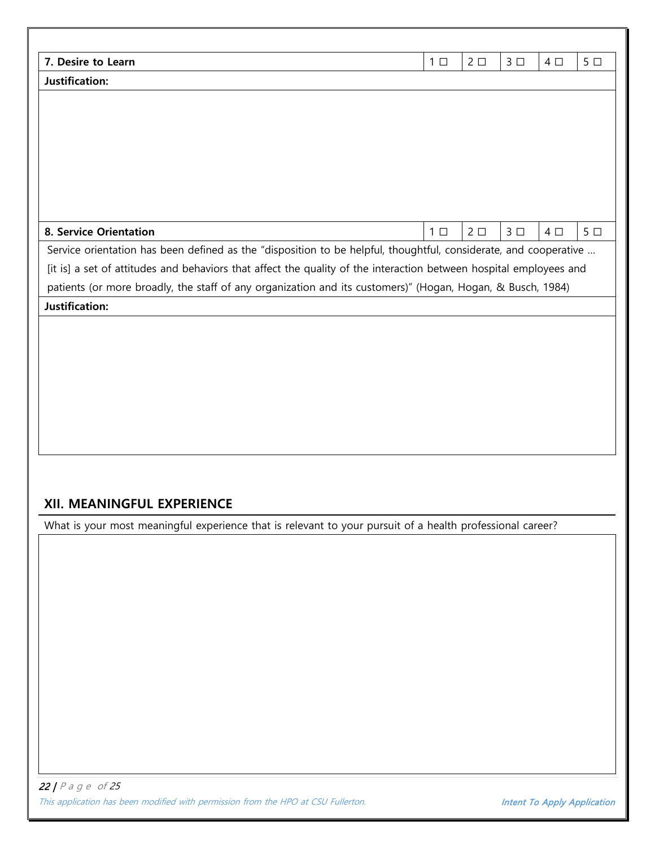| 7. Desire to Learn                                                                                                 | 5 <sub>1</sub><br>$1 \Box$<br>$2\square$<br>3 <sup>D</sup><br>$4\square$ |
|--------------------------------------------------------------------------------------------------------------------|--------------------------------------------------------------------------|
| Justification:                                                                                                     |                                                                          |
|                                                                                                                    |                                                                          |
|                                                                                                                    |                                                                          |
|                                                                                                                    |                                                                          |
|                                                                                                                    |                                                                          |
|                                                                                                                    |                                                                          |
|                                                                                                                    |                                                                          |
|                                                                                                                    |                                                                          |
| <b>8. Service Orientation</b>                                                                                      | $2\square$<br>3 <sup>1</sup><br>5 <sub>1</sub><br>$1 \Box$<br>$4\square$ |
| Service orientation has been defined as the "disposition to be helpful, thoughtful, considerate, and cooperative   |                                                                          |
| [it is] a set of attitudes and behaviors that affect the quality of the interaction between hospital employees and |                                                                          |
| patients (or more broadly, the staff of any organization and its customers)" (Hogan, Hogan, & Busch, 1984)         |                                                                          |
| <b>Justification:</b>                                                                                              |                                                                          |
|                                                                                                                    |                                                                          |
|                                                                                                                    |                                                                          |
|                                                                                                                    |                                                                          |
|                                                                                                                    |                                                                          |
|                                                                                                                    |                                                                          |
|                                                                                                                    |                                                                          |
|                                                                                                                    |                                                                          |
|                                                                                                                    |                                                                          |
|                                                                                                                    |                                                                          |
| XII. MEANINGFUL EXPERIENCE                                                                                         |                                                                          |
| What is your most meaningful experience that is relevant to your pursuit of a health professional career?          |                                                                          |
|                                                                                                                    |                                                                          |
|                                                                                                                    |                                                                          |
|                                                                                                                    |                                                                          |
|                                                                                                                    |                                                                          |
|                                                                                                                    |                                                                          |
|                                                                                                                    |                                                                          |
|                                                                                                                    |                                                                          |
|                                                                                                                    |                                                                          |
|                                                                                                                    |                                                                          |
|                                                                                                                    |                                                                          |
|                                                                                                                    |                                                                          |
|                                                                                                                    |                                                                          |
|                                                                                                                    |                                                                          |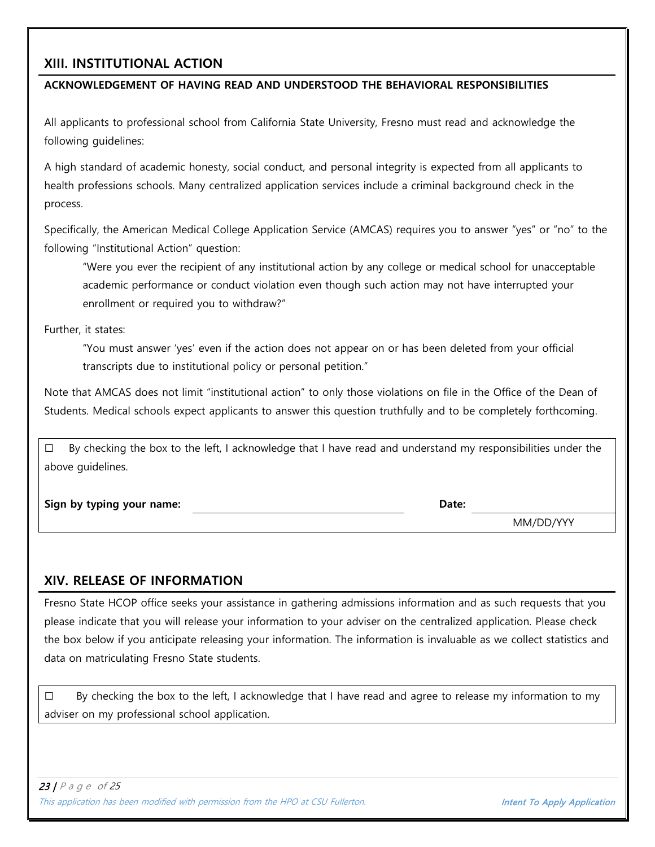## **XIII. INSTITUTIONAL ACTION**

#### **ACKNOWLEDGEMENT OF HAVING READ AND UNDERSTOOD THE BEHAVIORAL RESPONSIBILITIES**

All applicants to professional school from California State University, Fresno must read and acknowledge the following guidelines:

A high standard of academic honesty, social conduct, and personal integrity is expected from all applicants to health professions schools. Many centralized application services include a criminal background check in the process.

Specifically, the American Medical College Application Service (AMCAS) requires you to answer "yes" or "no" to the following "Institutional Action" question:

"Were you ever the recipient of any institutional action by any college or medical school for unacceptable academic performance or conduct violation even though such action may not have interrupted your enrollment or required you to withdraw?"

Further, it states:

"You must answer 'yes' even if the action does not appear on or has been deleted from your official transcripts due to institutional policy or personal petition."

Note that AMCAS does not limit "institutional action" to only those violations on file in the Office of the Dean of Students. Medical schools expect applicants to answer this question truthfully and to be completely forthcoming.

 $\square$  By checking the box to the left, I acknowledge that I have read and understand my responsibilities under the above guidelines.

**Sign by typing your name: Date:**

MM/DD/YYY

### **XIV. RELEASE OF INFORMATION**

Fresno State HCOP office seeks your assistance in gathering admissions information and as such requests that you please indicate that you will release your information to your adviser on the centralized application. Please check the box below if you anticipate releasing your information. The information is invaluable as we collect statistics and data on matriculating Fresno State students.

 $\square$  By checking the box to the left, I acknowledge that I have read and agree to release my information to my adviser on my professional school application.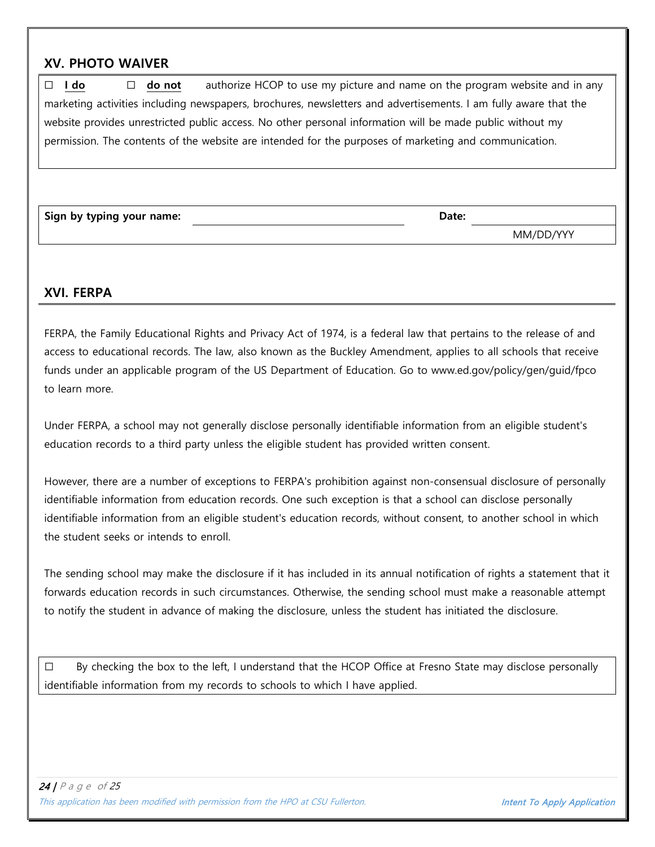## **XV. PHOTO WAIVER**

☐ **I do** ☐ **do not** authorize HCOP to use my picture and name on the program website and in any marketing activities including newspapers, brochures, newsletters and advertisements. I am fully aware that the website provides unrestricted public access. No other personal information will be made public without my permission. The contents of the website are intended for the purposes of marketing and communication.

**Sign by typing your name: Date:**

MM/DD/YYY

#### **XVI. FERPA**

FERPA, the Family Educational Rights and Privacy Act of 1974, is a federal law that pertains to the release of and access to educational records. The law, also known as the Buckley Amendment, applies to all schools that receive funds under an applicable program of the US Department of Education. Go to www.ed.gov/policy/gen/guid/fpco to learn more.

Under FERPA, a school may not generally disclose personally identifiable information from an eligible student's education records to a third party unless the eligible student has provided written consent.

However, there are a number of exceptions to FERPA's prohibition against non-consensual disclosure of personally identifiable information from education records. One such exception is that a school can disclose personally identifiable information from an eligible student's education records, without consent, to another school in which the student seeks or intends to enroll.

The sending school may make the disclosure if it has included in its annual notification of rights a statement that it forwards education records in such circumstances. Otherwise, the sending school must make a reasonable attempt to notify the student in advance of making the disclosure, unless the student has initiated the disclosure.

 $\square$  By checking the box to the left, I understand that the HCOP Office at Fresno State may disclose personally identifiable information from my records to schools to which I have applied.